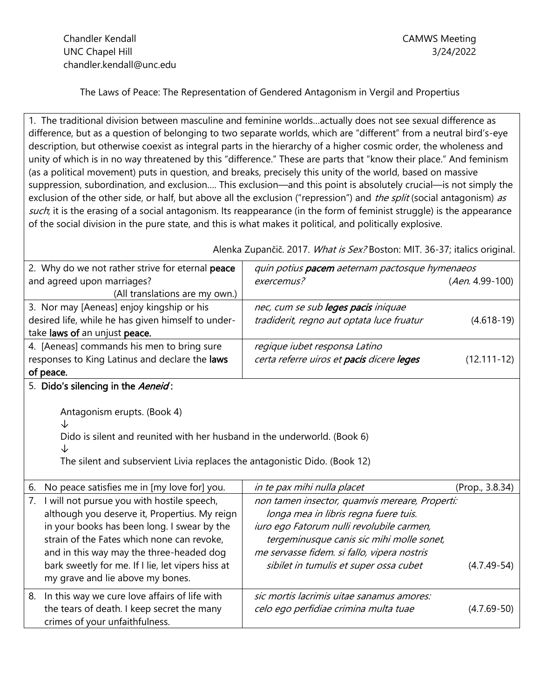The Laws of Peace: The Representation of Gendered Antagonism in Vergil and Propertius

1. The traditional division between masculine and feminine worlds...actually does not see sexual difference as difference, but as a question of belonging to two separate worlds, which are "different" from a neutral bird's-eye description, but otherwise coexist as integral parts in the hierarchy of a higher cosmic order, the wholeness and unity of which is in no way threatened by this "difference." These are parts that "know their place." And feminism (as a political movement) puts in question, and breaks, precisely this unity of the world, based on massive suppression, subordination, and exclusion…. This exclusion—and this point is absolutely crucial—is not simply the exclusion of the other side, or half, but above all the exclusion ("repression") and *the split* (social antagonism) as such; it is the erasing of a social antagonism. Its reappearance (in the form of feminist struggle) is the appearance of the social division in the pure state, and this is what makes it political, and politically explosive.

Alenka Zupančič. 2017. What is Sex? Boston: MIT. 36-37; italics original.

| 2. Why do we not rather strive for eternal peace                                                                                                                 | quin potius pacem aeternam pactosque hymenaeos |                   |
|------------------------------------------------------------------------------------------------------------------------------------------------------------------|------------------------------------------------|-------------------|
| and agreed upon marriages?                                                                                                                                       | exercemus?                                     | $(Aen. 4.99-100)$ |
| (All translations are my own.)                                                                                                                                   |                                                |                   |
| 3. Nor may [Aeneas] enjoy kingship or his                                                                                                                        | nec, cum se sub leges pacis iniquae            |                   |
| desired life, while he has given himself to under-                                                                                                               | tradiderit, regno aut optata luce fruatur      | $(4.618-19)$      |
| take laws of an unjust peace.                                                                                                                                    |                                                |                   |
| 4. [Aeneas] commands his men to bring sure                                                                                                                       | regique iubet responsa Latino                  |                   |
| responses to King Latinus and declare the laws                                                                                                                   | certa referre uiros et pacis dicere leges      | $(12.111 - 12)$   |
| of peace.                                                                                                                                                        |                                                |                   |
| 5. Dido's silencing in the Aeneid:                                                                                                                               |                                                |                   |
| ↓<br>Dido is silent and reunited with her husband in the underworld. (Book 6)<br>↓<br>The silent and subservient Livia replaces the antagonistic Dido. (Book 12) |                                                |                   |
| No peace satisfies me in [my love for] you.<br>6.                                                                                                                | in te pax mihi nulla placet                    | (Prop., 3.8.34)   |
| I will not pursue you with hostile speech,<br>7.                                                                                                                 | non tamen insector, quamvis mereare, Properti: |                   |
| although you deserve it, Propertius. My reign                                                                                                                    | longa mea in libris regna fuere tuis.          |                   |
| in your books has been long. I swear by the                                                                                                                      | iuro ego Fatorum nulli revolubile carmen,      |                   |
| strain of the Fates which none can revoke,                                                                                                                       | tergeminusque canis sic mihi molle sonet,      |                   |
| and in this way may the three-headed dog                                                                                                                         | me servasse fidem. si fallo, vipera nostris    |                   |
| bark sweetly for me. If I lie, let vipers hiss at                                                                                                                | sibilet in tumulis et super ossa cubet         | $(4.7.49-54)$     |
| my grave and lie above my bones.                                                                                                                                 |                                                |                   |
| In this way we cure love affairs of life with<br>8.                                                                                                              | sic mortis lacrimis uitae sanamus amores:      |                   |
| the tears of death. I keep secret the many                                                                                                                       | celo ego perfidiae crimina multa tuae          | $(4.7.69 - 50)$   |
| crimes of your unfaithfulness.                                                                                                                                   |                                                |                   |